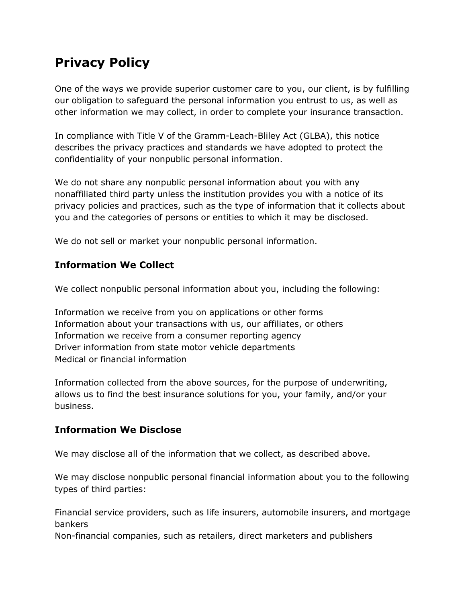# **Privacy Policy**

One of the ways we provide superior customer care to you, our client, is by fulfilling our obligation to safeguard the personal information you entrust to us, as well as other information we may collect, in order to complete your insurance transaction.

In compliance with Title V of the Gramm-Leach-Bliley Act (GLBA), this notice describes the privacy practices and standards we have adopted to protect the confidentiality of your nonpublic personal information.

We do not share any nonpublic personal information about you with any nonaffiliated third party unless the institution provides you with a notice of its privacy policies and practices, such as the type of information that it collects about you and the categories of persons or entities to which it may be disclosed.

We do not sell or market your nonpublic personal information.

## **Information We Collect**

We collect nonpublic personal information about you, including the following:

Information we receive from you on applications or other forms Information about your transactions with us, our affiliates, or others Information we receive from a consumer reporting agency Driver information from state motor vehicle departments Medical or financial information

Information collected from the above sources, for the purpose of underwriting, allows us to find the best insurance solutions for you, your family, and/or your business.

### **Information We Disclose**

We may disclose all of the information that we collect, as described above.

We may disclose nonpublic personal financial information about you to the following types of third parties:

Financial service providers, such as life insurers, automobile insurers, and mortgage bankers

Non-financial companies, such as retailers, direct marketers and publishers